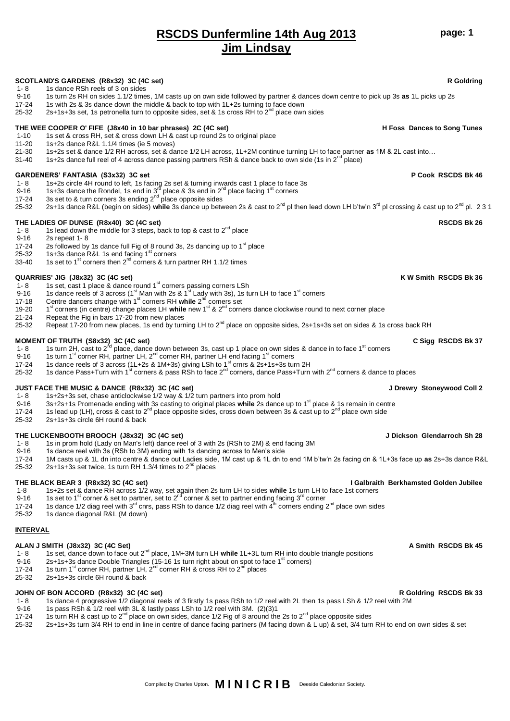## **RSCDS Dunfermline 14th Aug 2013 Jim Lindsay**

**page: 1**

### **SCOTLAND'S GARDENS (R8x32) 3C (4C set) R Goldring** 1- 8 1s dance RSh reels of 3 on sides 9-16 1s turn 2s RH on sides 1.1/2 times, 1M casts up on own side followed by partner & dances down centre to pick up 3s **as** 1L picks up 2s 1s with 2s & 3s dance down the middle & back to top with 1L+2s turning to face down 25-32 2s+1s+3s set, 1s petronella turn to opposite sides, set & 1s cross RH to  $2^{nd}$  place own sides **THE WEE COOPER O' FIFE (J8x40 in 10 bar phrases) 2C (4C set) H Foss Dances to Song Tunes** 1-10 1s set & cross RH, set & cross down LH & cast up round 2s to original place 11-20 1s+2s dance R&L 1.1/4 times (ie 5 moves) 21-30 1s+2s set & dance 1/2 RH across, set & dance 1/2 LH across, 1L+2M continue turning LH to face partner **as** 1M & 2L cast into… 1s+2s dance full reel of 4 across dance passing partners RSh & dance back to own side (1s in  $2^{nd}$  place) GARDENERS' FANTASIA (S3x32) 3C set<br>1- 8 1s+2s circle 4H round to left. 1s facing 2s set & turning inwards cast 1 place to face 3s 1- 8 1s+2s circle 4H round to left, 1s facing 2s set & turning inwards cast 1 place to face 3s<br>9-16 1s+3s dance the Rondel, 1s end in 3<sup>rd</sup> place & 3s end in 2<sup>nd</sup> place facing 1<sup>st</sup> corners 17-24 3s set to & turn corners 3s ending  $2<sup>nd</sup>$  place opposite sides 25-32 2s+1s dance R&L (begin on sides) while 3s dance up between 2s & cast to 2<sup>nd</sup> pl then lead down LH b'tw'n 3<sup>rd</sup> pl crossing & cast up to 2<sup>nd</sup> pl. 2 3 1 **THE LADIES OF DUNSE (R8x40) 3C (4C set) RSCDS Bk 26** 1- 8 1s lead down the middle for 3 steps, back to top & cast to  $2^{nd}$  place 9-16 2s repeat 1- 8 9-16 2s repeat 1-8<br>17-24 2s followed by 2s followed by 1s dance full Fig of 8 round 3s, 2s dancing up to  $1<sup>st</sup>$  place 25-32 1s+3s dance R&L 1s end facing 1<sup>st</sup> corners 33-40 1s set to 1<sup>st</sup> corners then  $2^{nd}$  corners & turn partner RH 1.1/2 times **QUARRIES' JIG (J8x32) 3C (4C set) K W Smith RSCDS Bk 36** 1- 8 1s set, cast 1 place & dance round 1<sup>st</sup> corners passing corners LSh 9-16 1s dance reels of 3 across (1<sup>st</sup> Man with 2s & 1<sup>st</sup> Lady with 3s), 1s turn LH to face 1<sup>st</sup> corners 17-18 Centre dancers change with 1<sup>st</sup> corners RH while 2<sup>nd</sup> corners set 19-20 st corners (in centre) change places LH **while** new 1st & 2nd corners dance clockwise round to next corner place 21-24 Repeat the Fig in bars 17-20 from new places Repeat 17-20 from new places, 1s end by turning LH to  $2^{nd}$  place on opposite sides, 2s+1s+3s set on sides & 1s cross back RH **MOMENT OF TRUTH (S8x32) 3C (4C set) C Sigg RSCDS Bk 37**<br>1- 8 1s turn 2H, cast to 2<sup>nd</sup> place, dance down between 3s, cast up 1 place on own sides & dance in to face 1<sup>st</sup> corners 9-16 1s turn 1<sup>st</sup> corner RH, partner LH, 2<sup>nd</sup> corner RH, partner LH end facing 1<sup>st</sup> corners 17-24 1s dance reels of 3 across (1L+2s & 1M+3s) giving LSh to 1<sup>st</sup> crnrs & 2s+1s+3s turn 2H 25-32 1s dance Pass+Turn with 1<sup>st</sup> corners & pass RSh to face 2<sup>nd</sup> corners, dance Pass+Turn with 2<sup>nd</sup> corners & dance to places **JUST FACE THE MUSIC & DANCE (R8x32) 3C (4C set) J Drewry Stoneywood Coll 2** 1- 8 1s+2s+3s set, chase anticlockwise 1/2 way & 1/2 turn partners into prom hold 9-16 3s+2s+1s Promenade ending with 3s casting to original places while 2s dance up to 1<sup>st</sup> place & 1s remain in centre<br>17-24 1s lead up (LH), cross & cast to 2<sup>nd</sup> place opposite sides, cross down between 3s & cast up to 17-24 1s lead up (LH), cross & cast to 2<sup>nd</sup> place opposite sides, cross down between 3s & cast up to 2<sup>nd</sup> place own side<br>25-32 25+1s+3s circle 6H round & back 2s+1s+3s circle 6H round & back **THE LUCKENBOOTH BROOCH (J8x32) 3C (4C set)** J Dickson Glendarroch Sh 28<br>
1-8 1s in prom hold (Lady on Man's left) dance reel of 3 with 2s (RSh to 2M) & end facing 3M 1s in prom hold (Lady on Man's left) dance reel of 3 with 2s (RSh to 2M) & end facing 3M 9-16 1s dance reel with 3s (RSh to 3M) ending with 1s dancing across to Men's side 17-24 1M casts up & 1L dn into centre & dance out Ladies side, 1M cast up & 1L dn to end 1M b'tw'n 2s facing dn & 1L+3s face up **as** 2s+3s dance R&L 25-32 2s+1s+3s set twice, 1s turn RH 1.3/4 times to  $2<sup>nd</sup>$  places **THE BLACK BEAR 3 (R8x32) 3C (4C set) I Galbraith Berkhamsted Golden Jubilee** 1-8 1s+2s set & dance RH across 1/2 way, set again then 2s turn LH to sides **while** 1s turn LH to face 1st corners<br>9-16 1s set to 1<sup>st</sup> corner & set to partner, set to 2<sup>nd</sup> corner & set to partner ending facing 3<sup>rd</sup> corn 17-24 1s dance 1/2 diag reel with  $3^{rd}$  cnrs, pass RSh to dance 1/2 diag reel with  $4^{th}$  corners ending  $2^{nd}$  place own sides 25-32 1s dance diagonal R&L (M down) **INTERVAL** ALAN J SMITH (J8x32) 3C (4C Set) A Smith RSCDS Bk 45<sup>a</sup> and the set of the set of the set of the set of the set of the set of the set of the set of the set of the set of the set of the set of the set of the set of the set 1- 8 1s set, dance down to face out 2nd place, 1M+3M turn LH **while** 1L+3L turn RH into double triangle positions 2s+1s+3s dance Double Triangles (15-16 1s turn right about on spot to face  $1<sup>st</sup>$  corners)

- 17-24 1s turn 1<sup>st</sup> corner RH, partner LH,  $2^{hd}$  corner RH & cross RH to  $2^{nd}$  places <br>25-32 2s+1s+3s circle 6H round & back
- 2s+1s+3s circle 6H round & back

### **JOHN OF BON ACCORD (R8x32) 3C (4C set) R Goldring RSCDS Bk 33**

- 1- 8 1s dance 4 progressive 1/2 diagonal reels of 3 firstly 1s pass RSh to 1/2 reel with 2L then 1s pass LSh & 1/2 reel with 2M<br>9-16 1s pass RSh & 1/2 reel with 3L & lastly pass LSh to 1/2 reel with 3M. (2)(3)1
- 1s pass RSh & 1/2 reel with 3L & lastly pass LSh to 1/2 reel with 3M. (2)(3)1
- 17-24 1s turn RH & cast up to 2<sup>nd</sup> place on own sides, dance 1/2 Fig of 8 around the 2s to 2<sup>nd</sup> place opposite sides<br>25-32 2s+1s+3s turn 3/4 RH to end in line in centre of dance facing partners (M facing down & L up) &
- 25-32 2s+1s+3s turn 3/4 RH to end in line in centre of dance facing partners (M facing down & L up) & set, 3/4 turn RH to end on own sides & set